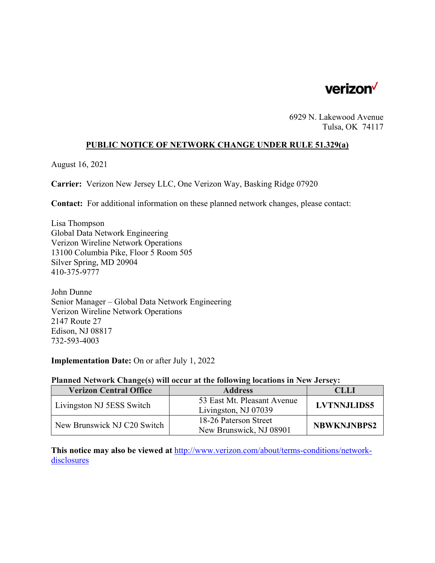

6929 N. Lakewood Avenue Tulsa, OK 74117

## **PUBLIC NOTICE OF NETWORK CHANGE UNDER RULE 51.329(a)**

August 16, 2021

**Carrier:** Verizon New Jersey LLC, One Verizon Way, Basking Ridge 07920

**Contact:** For additional information on these planned network changes, please contact:

Lisa Thompson Global Data Network Engineering Verizon Wireline Network Operations 13100 Columbia Pike, Floor 5 Room 505 Silver Spring, MD 20904 410-375-9777

John Dunne Senior Manager – Global Data Network Engineering Verizon Wireline Network Operations 2147 Route 27 Edison, NJ 08817 732-593-4003

**Implementation Date:** On or after July 1, 2022

#### **Planned Network Change(s) will occur at the following locations in New Jersey:**

| <b>Verizon Central Office</b> | <b>Address</b>                                      | CLLI               |
|-------------------------------|-----------------------------------------------------|--------------------|
| Livingston NJ 5ESS Switch     | 53 East Mt. Pleasant Avenue<br>Livingston, NJ 07039 | <b>LVTNNJLIDS5</b> |
| New Brunswick NJ C20 Switch   | 18-26 Paterson Street<br>New Brunswick, NJ 08901    | <b>NBWKNJNBPS2</b> |

**This notice may also be viewed at** http://www.verizon.com/about/terms-conditions/networkdisclosures